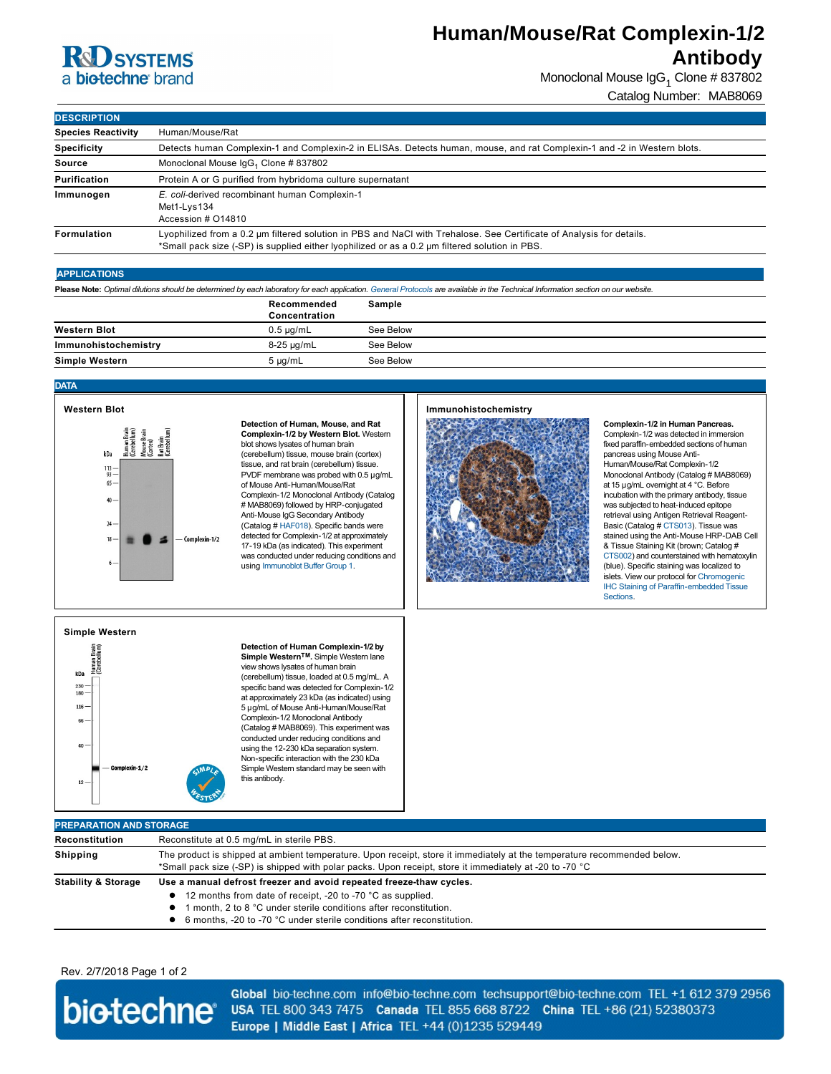# **R&D SYSTEMS** a biotechne brand

# **Human/Mouse/Rat Complexin-1/2 Antibody**

Monoclonal Mouse IgG<sub>1</sub> Clone # 837802

Catalog Number: MAB8069

| <b>DESCRIPTION</b>        |                                                                                                                                                                                                                        |  |  |
|---------------------------|------------------------------------------------------------------------------------------------------------------------------------------------------------------------------------------------------------------------|--|--|
| <b>Species Reactivity</b> | Human/Mouse/Rat                                                                                                                                                                                                        |  |  |
| <b>Specificity</b>        | Detects human Complexin-1 and Complexin-2 in ELISAs. Detects human, mouse, and rat Complexin-1 and -2 in Western blots.                                                                                                |  |  |
| <b>Source</b>             | Monoclonal Mouse IgG <sub>1</sub> Clone # 837802                                                                                                                                                                       |  |  |
| Purification              | Protein A or G purified from hybridoma culture supernatant                                                                                                                                                             |  |  |
| Immunogen                 | E. coli-derived recombinant human Complexin-1<br>Met1-Lys134<br>Accession # 014810                                                                                                                                     |  |  |
| <b>Formulation</b>        | Lyophilized from a 0.2 um filtered solution in PBS and NaCl with Trehalose. See Certificate of Analysis for details.<br>*Small pack size (-SP) is supplied either lyophilized or as a 0.2 µm filtered solution in PBS. |  |  |

### **APPLICATIONS**

**Please Note:** *Optimal dilutions should be determined by each laboratory for each application. [General Protocols](http://www.rndsystems.com/resources/protocols-troubleshooting-guides) are available in the Technical Information section on our website.*

|                       | Recommended<br>Concentration | Sample    |
|-----------------------|------------------------------|-----------|
| <b>Western Blot</b>   | $0.5 \mu q/mL$               | See Below |
| Immunohistochemistry  | 8-25 µg/mL                   | See Below |
| <b>Simple Western</b> | 5 µg/mL                      | See Below |

#### **DATA**



**Detection of Human, Mouse, and Rat Complexin-1/2 by Western Blot.** Western blot shows lysates of human brain (cerebellum) tissue, mouse brain (cortex) tissue, and rat brain (cerebellum) tissue. PVDF membrane was probed with 0.5 µg/mL of Mouse Anti-Human/Mouse/Rat Complexin-1/2 Monoclonal Antibody (Catalog # MAB8069) followed by HRP-conjugated Anti-Mouse IgG Secondary Antibody (Catalog # [HAF018](http://www.rndsystems.com/search?keywords=HAF018)). Specific bands were detected for Complexin-1/2 at approximately 17-19 kDa (as indicated). This experiment was conducted under reducing conditions and using [Immunoblot Buffer Group 1](http://www.rndsystems.com/resources/technical/western-blot-conditions).

## **Immunohistochemistry**



**Complexin-1/2 in Human Pancreas.** Complexin-1/2 was detected in immersion fixed paraffin-embedded sections of human pancreas using Mouse Anti-Human/Mouse/Rat Complexin-1/2 Monoclonal Antibody (Catalog # MAB8069) at 15 µg/mL overnight at 4 °C. Before incubation with the primary antibody, tissue was subjected to heat-induced epitope retrieval using Antigen Retrieval Reagent-Basic (Catalog # [CTS013](http://www.rndsystems.com/search?keywords=CTS013)). Tissue was stained using the Anti-Mouse HRP-DAB Cell [& Tissue](http://www.rndsystems.com/search?keywords=CTS002) Staining Kit (brown; Catalog # CTS002) and counterstained with hematoxylin (blue). Specific staining was localized to islets. View our protocol for Chromogenic **IHC Staining of Paraffin-embedded Tissue** Sections.

#### **Simple Western**



**Detection of Human Complexin-1/2 by Simple WesternTM.** Simple Western lane view shows lysates of human brain (cerebellum) tissue, loaded at 0.5 mg/mL. A specific band was detected for Complexin-1/2 at approximately 23 kDa (as indicated) using 5 µg/mL of Mouse Anti-Human/Mouse/Rat Complexin-1/2 Monoclonal Antibody (Catalog # MAB8069). This experiment was conducted under reducing conditions and using the 12-230 kDa separation system. Nonspecific interaction with the 230 kDa Simple Western standard may be seen with this antibody.

| <b>PREPARATION AND STORAGE</b> |                                                                                                                                                                                                                                                                                                   |  |  |
|--------------------------------|---------------------------------------------------------------------------------------------------------------------------------------------------------------------------------------------------------------------------------------------------------------------------------------------------|--|--|
| Reconstitution                 | Reconstitute at 0.5 mg/mL in sterile PBS.                                                                                                                                                                                                                                                         |  |  |
| Shipping                       | The product is shipped at ambient temperature. Upon receipt, store it immediately at the temperature recommended below.<br>*Small pack size (-SP) is shipped with polar packs. Upon receipt, store it immediately at -20 to -70 °C                                                                |  |  |
| <b>Stability &amp; Storage</b> | Use a manual defrost freezer and avoid repeated freeze-thaw cycles.<br>• 12 months from date of receipt, -20 to -70 °C as supplied.<br>month. 2 to 8 °C under sterile conditions after reconstitution.<br>$\bullet$ 1<br>• 6 months. -20 to -70 °C under sterile conditions after reconstitution. |  |  |

## Rev. 2/7/2018 Page 1 of 2



Global bio-techne.com info@bio-techne.com techsupport@bio-techne.com TEL +1 612 379 2956 USA TEL 800 343 7475 Canada TEL 855 668 8722 China TEL +86 (21) 52380373 Europe | Middle East | Africa TEL +44 (0)1235 529449